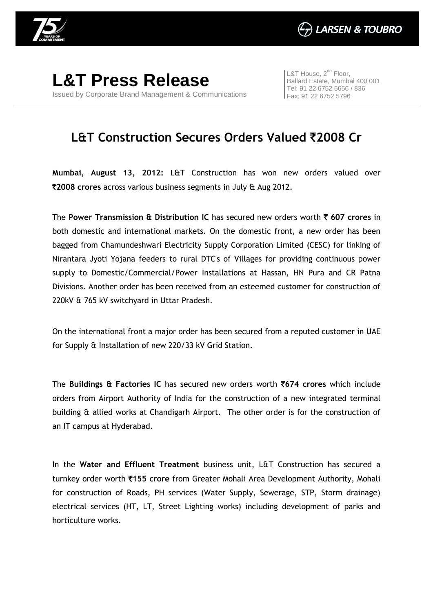

**L&T Press Release** Issued by Corporate Brand Management & Communications

L&T House,  $2^{nd}$  Floor, Ballard Estate, Mumbai 400 001 Tel: 91 22 6752 5656 / 836 Fax: 91 22 6752 5796

## **L&T Construction Secures Orders Valued** `**2008 Cr**

**Mumbai, August 13, 2012:** L&T Construction has won new orders valued over `**2008 crores** across various business segments in July & Aug 2012.

The **Power Transmission & Distribution IC** has secured new orders worth ` **607 crores** in both domestic and international markets. On the domestic front, a new order has been bagged from Chamundeshwari Electricity Supply Corporation Limited (CESC) for linking of Nirantara Jyoti Yojana feeders to rural DTC's of Villages for providing continuous power supply to Domestic/Commercial/Power Installations at Hassan, HN Pura and CR Patna Divisions. Another order has been received from an esteemed customer for construction of 220kV & 765 kV switchyard in Uttar Pradesh.

On the international front a major order has been secured from a reputed customer in UAE for Supply & Installation of new 220/33 kV Grid Station.

The **Buildings & Factories IC** has secured new orders worth `**674 crores** which include orders from Airport Authority of India for the construction of a new integrated terminal building & allied works at Chandigarh Airport. The other order is for the construction of an IT campus at Hyderabad.

In the **Water and Effluent Treatment** business unit, L&T Construction has secured a turnkey order worth `**155 crore** from Greater Mohali Area Development Authority, Mohali for construction of Roads, PH services (Water Supply, Sewerage, STP, Storm drainage) electrical services (HT, LT, Street Lighting works) including development of parks and horticulture works.